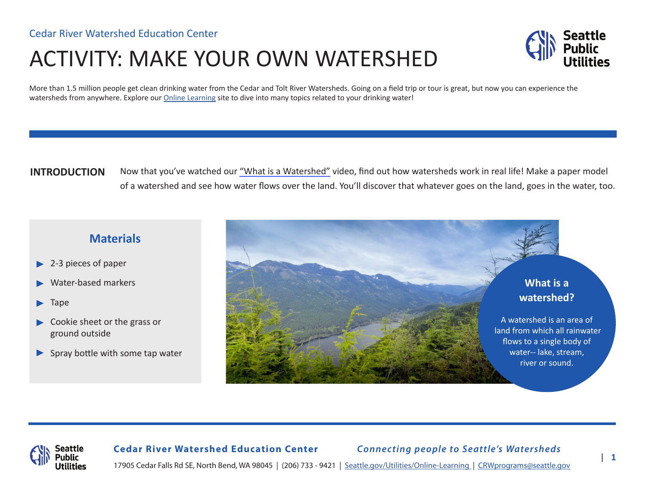# ACTIVITY: MAKE YOUR OWN WATERSHED



More than 1.5 million people get clean drinking water from the Cedar and Tolt River Watersheds. Going on a field trip or tour is great, but now you can experience the watersheds from anywhere. Explore our [Online Learning](http://www.seattle.gov/utilities/environment-and-conservation/our-watersheds/cedar-river-watershed/online-learning) site to dive into many topics related to your drinking water!

## **INTRODUCTION**

Now that you've watched our ["What is a Watershed"](https://www.youtube.com/watch?v=7q-pj3mDqyk) video, find out how watersheds work in real life! Make a paper model of a watershed and see how water flows over the land. You'll discover that whatever goes on the land, goes in the water, too.

## **Materials**

- 2-3 pieces of paper ▶
- Water-based markers ▶
- Tape ▶
- ▶ Cookie sheet or the grass or ground outside
- ▶ Spray bottle with some tap water



**Cedar River Watershed Education Center** *Connecting people to Seattle's Watersheds*

17905 Cedar Falls Rd SE, North Bend, WA 98045 | (206) 733 - 9421 | [Seattle.gov/Utilities/Online-Learning](https://www.seattle.gov/utilities/environment-and-conservation/our-watersheds/cedar-river-watershed/online-learning) | CRWprograms@seattle.gov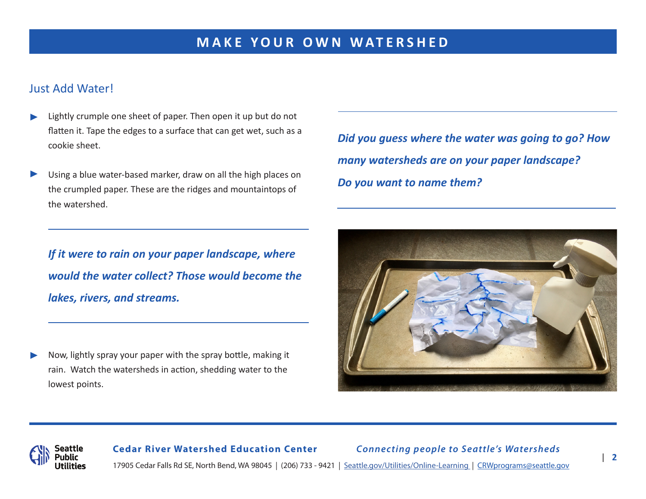## Just Add Water!

- Lightly crumple one sheet of paper. Then open it up but do not flatten it. Tape the edges to a surface that can get wet, such as a cookie sheet. ▶
- Using a blue water-based marker, draw on all the high places on the crumpled paper. These are the ridges and mountaintops of the watershed. ▶

*If it were to rain on your paper landscape, where would the water collect? Those would become the lakes, rivers, and streams.* 

Now, lightly spray your paper with the spray bottle, making it rain. Watch the watersheds in action, shedding water to the lowest points. ▶

*Did you guess where the water was going to go? How many watersheds are on your paper landscape? Do you want to name them?* 





## **Cedar River Watershed Education Center** *Connecting people to Seattle's Watersheds* 17905 Cedar Falls Rd SE, North Bend, WA 98045 | (206) 733 - 9421 | [Seattle.gov/Utilities/Online-Learning](https://www.seattle.gov/utilities/environment-and-conservation/our-watersheds/cedar-river-watershed/online-learning) | CRWprograms@seattle.gov